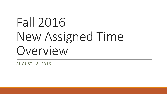# Fall 2016 New Assigned Time Overview

AUGUST 18, 2016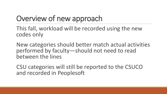# Overview of new approach

This fall, workload will be recorded using the new codes only

New categories should better match actual activities performed by faculty—should not need to read between the lines

CSU categories will still be reported to the CSUCO and recorded in Peoplesoft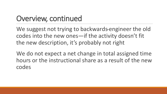## Overview, continued

We suggest not trying to backwards-engineer the old codes into the new ones—if the activity doesn't fit the new description, it's probably not right

We do not expect a net change in total assigned time hours or the instructional share as a result of the new codes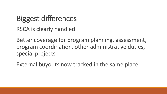# Biggest differences

RSCA is clearly handled

Better coverage for program planning, assessment, program coordination, other administrative duties, special projects

External buyouts now tracked in the same place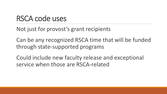## RSCA code uses

Not just for provost's grant recipients

Can be any recognized RSCA time that will be funded through state-supported programs

Could include new faculty release and exceptional service when those are RSCA-related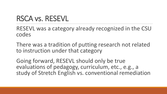## RSCA vs. RESEVL

RESEVL was a category already recognized in the CSU codes

There was a tradition of putting research not related to instruction under that category

Going forward, RESEVL should only be true evaluations of pedagogy, curriculum, etc., e.g., a study of Stretch English vs. conventional remediation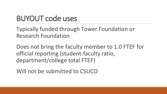## BUYOUT code uses

Typically funded through Tower Foundation or Research Foundation

Does not bring the faculty member to 1.0 FTEF for official reporting (student-faculty ratio, department/college total FTEF)

Will not be submitted to CSUCO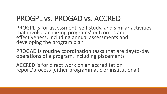## PROGPL vs. PROGAD vs. ACCRED

PROGPL is for assessment, self-study, and similar activities that involve analyzing programs' outcomes and effectiveness, including annual assessments and developing the program plan

PROGAD is routine coordination tasks that are day-to-day operations of a program, including placements

ACCRED is for direct work on an accreditation report/process (either programmatic or institutional)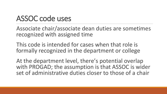## ASSOC code uses

Associate chair/associate dean duties are sometimes recognized with assigned time

This code is intended for cases when that role is formally recognized in the department or college

At the department level, there's potential overlap with PROGAD; the assumption is that ASSOC is wider set of administrative duties closer to those of a chair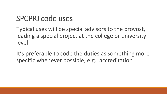#### SPCPRJ code uses

Typical uses will be special advisors to the provost, leading a special project at the college or university level

It's preferable to code the duties as something more specific whenever possible, e.g., accreditation